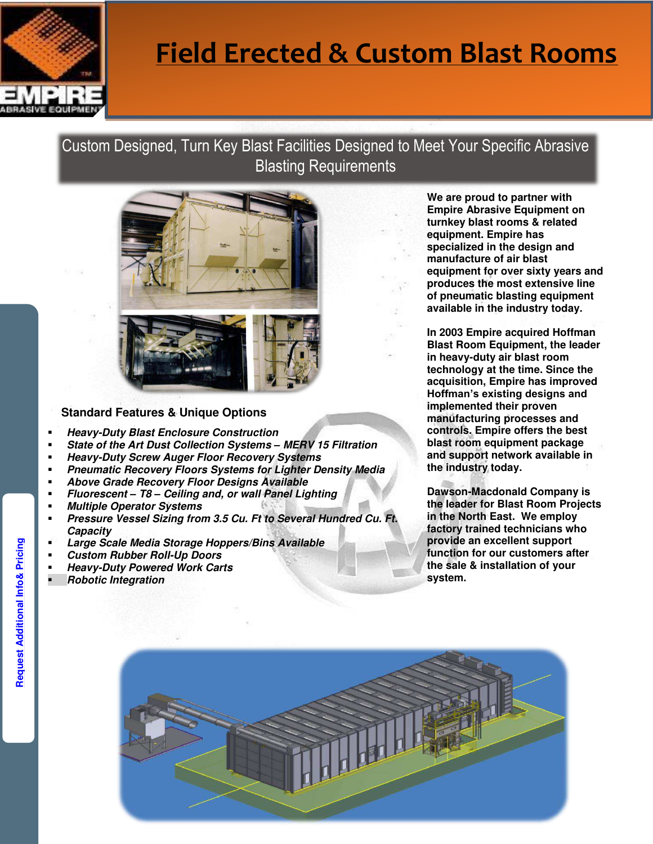

# **Field Erected & Custom Blast Rooms**

### Custom Designed, Turn Key Blast Facilities Designed to Meet Your Specific Abrasive Blasting Requirements



#### **Standard Features & Unique Options**

- **Heavy-Duty Blast Enclosure Construction**
- **State of the Art Dust Collection Systems** *–* **MERV 15 Filtration**
- **Heavy-Duty Screw Auger Floor Recovery Systems**
- **Pneumatic Recovery Floors Systems for Lighter Density Media**
- **Above Grade Recovery Floor Designs Available**
- **Fluorescent** *–* **T8** *–* **Ceiling and, or wall Panel Lighting**
- **Multiple Operator Systems**
- **Pressure Vessel Sizing from 3.5 Cu. Ft to Several Hundred Cu. Ft. Capacity**
- **Large Scale Media Storage Hoppers/Bins Available**
- **Custom Rubber Roll-Up Doors**
- **Heavy-Duty Powered Work Carts**
- **Robotic Integration**

**We are proud to partner with Empire Abrasive Equipment on turnkey blast rooms & related equipment. Empire has specialized in the design and manufacture of air blast equipment for over sixty years and produces the most extensive line of pneumatic blasting equipment available in the industry today.** 

**In 2003 Empire acquired Hoffman Blast Room Equipment, the leader in heavy-duty air blast room technology at the time. Since the acquisition, Empire has improved Hoffman's existing designs and implemented their proven manufacturing processes and controls. Empire offers the best blast room equipment package and support network available in the industry today.** 

**Dawson-Macdonald Company is the leader for Blast Room Projects in the North East. We employ factory trained technicians who provide an excellent support function for our customers after the sale & installation of your system.** 



Request Additional Info& Pricing **[Request Additional Info& Pricing](mailto:info@dawson-macdonald.com?subject=PEB%20Blast%20Booth%20Information%20Request)**